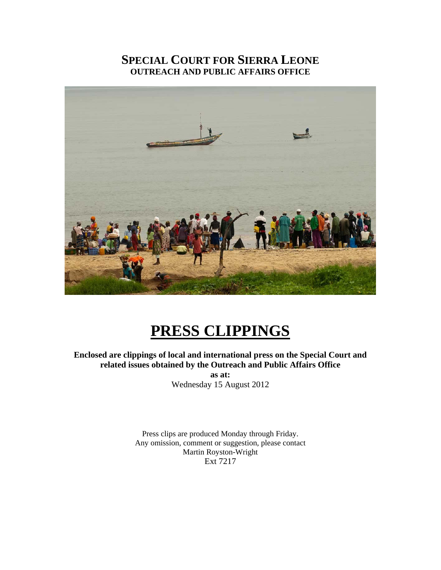### **SPECIAL COURT FOR SIERRA LEONE OUTREACH AND PUBLIC AFFAIRS OFFICE**



## **PRESS CLIPPINGS**

**Enclosed are clippings of local and international press on the Special Court and related issues obtained by the Outreach and Public Affairs Office as at:**  Wednesday 15 August 2012

> Press clips are produced Monday through Friday. Any omission, comment or suggestion, please contact Martin Royston-Wright

Ext 7217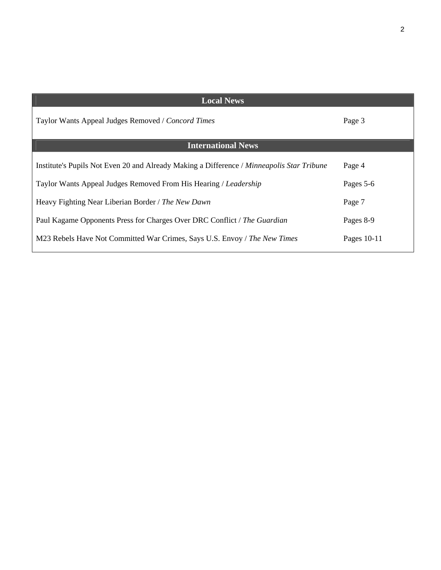| <b>Local News</b>                                                                         |             |
|-------------------------------------------------------------------------------------------|-------------|
| Taylor Wants Appeal Judges Removed / Concord Times                                        | Page 3      |
| <b>International News</b>                                                                 |             |
|                                                                                           |             |
| Institute's Pupils Not Even 20 and Already Making a Difference / Minneapolis Star Tribune | Page 4      |
| Taylor Wants Appeal Judges Removed From His Hearing / Leadership                          | Pages 5-6   |
|                                                                                           |             |
| Heavy Fighting Near Liberian Border / The New Dawn                                        | Page 7      |
| Paul Kagame Opponents Press for Charges Over DRC Conflict / The Guardian                  | Pages 8-9   |
|                                                                                           |             |
| M23 Rebels Have Not Committed War Crimes, Says U.S. Envoy / The New Times                 | Pages 10-11 |

 $\mathsf{l}$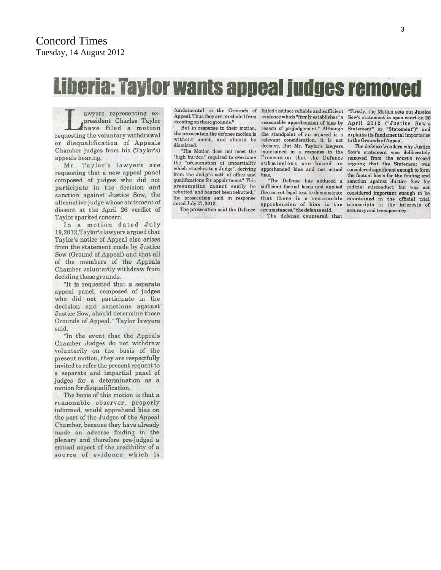# Liberia: Taylor wants appeal judges removed

awyers representing expresident Charles Taylor have filed a motion requesting the voluntary withdrawal or disqualification of Appeals Chamber judges from his (Taylor's) appeals hearing.

Mr. Taylor's lawyers are requesting that a new appeal panel composed of judges who did not participate in the decision and sanction against Justice Sow, the alternative judge whose statement of dissent at the April 26 verdict of Taylor sparked concern.

In a motion dated July 19,2012, Taylor's lawyers argued that Taylor's notice of Appeal also arises from the statement made by Justice Sow (Ground of Appeal) and that all of the members of the Appeals Chamber voluntarily withdraw from deciding these grounds.

"It is requested that a separate appeal panel, composed of judges who did not participate in the decision and sanctions against Justice Sow, should determine those Grounds of Appeal." Taylor lawyers said

"In the event that the Appeals Chamber Judges do not withdraw voluntarily on the basis of the present motion, they are respectfully invited to refer the present request to a separate and impartial panel of judges for a determination as a motion for disqualification.

The basis of this motion is that a reasonable observer, properly informed, would apprehend bias on the part of the Judges of the Appeal Chamber, because they have already made an adverse finding in the plenary and therefore pre-judged a critical aspect of the credibility of a source of evidence which is fundamental to the Grounds of failed tadduce reliable and sufficient "Firstly, the Motion sets out Justice Appeal. Thus they are precluded from deciding on these grounds.'

But in response to their motion, the prosecution the defense motion is without merit, and should be dismissed.

"The Motion does not meet the "high burden" required to overcome the "presumption of impartiality which attaches to a Judge", deriving from the Judge's oath of office and qualifications for appointment? This presumption cannot easily be rebutted' and has not been rebutted," the prosecution said in response dated July 27, 2012.

The prosecution said the Defence

evidence which "firmly establishes" a reasonable apprehension of bias by reason of prejudgement." Although the standpoint of an accused is a relevant consideration, it is not decisive. But Mr. Taylor's lawyers maintained in a response to the submissions are based on apprehended bias and not actual bias.

"The Defense has adduced a sufficient factual basis and applied the correct legal test to demonstrate that there is a reasonable apprehension of bias in the circumstances." the defense said. The defense countered that

Sow's statement in open court on 26 April 2012 ("Justice Sow's Statement" or "Statement")" and explains its fundamental importance to the Grounds of Appeal.

The defense wonders why Justice Sow's statement was deliberately Prosecution that the Defence removed from the court's record arguing that the Statement was considered significant enough to form the factual basis for the finding and sanction against Justice Sow for judicial misconduct, but was not considered important enough to be maintained in the official trial transcripts in the interests of accuracy and transparency.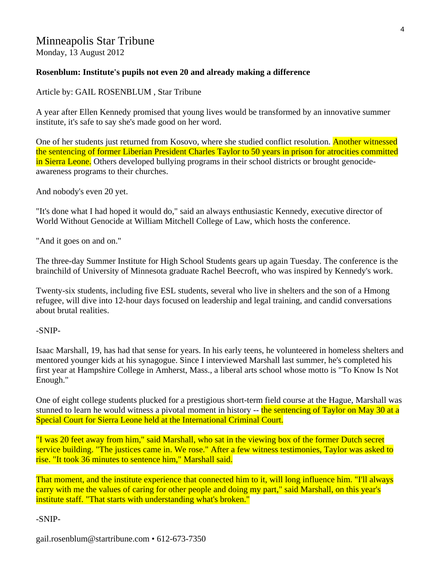### Minneapolis Star Tribune

Monday, 13 August 2012

#### **Rosenblum: Institute's pupils not even 20 and already making a difference**

Article by: GAIL ROSENBLUM , Star Tribune

A year after Ellen Kennedy promised that young lives would be transformed by an innovative summer institute, it's safe to say she's made good on her word.

One of her students just returned from Kosovo, where she studied conflict resolution. Another witnessed the sentencing of former Liberian President Charles Taylor to 50 years in prison for atrocities committed in Sierra Leone. Others developed bullying programs in their school districts or brought genocideawareness programs to their churches.

And nobody's even 20 yet.

"It's done what I had hoped it would do," said an always enthusiastic Kennedy, executive director of World Without Genocide at William Mitchell College of Law, which hosts the conference.

"And it goes on and on."

The three-day Summer Institute for High School Students gears up again Tuesday. The conference is the brainchild of University of Minnesota graduate Rachel Beecroft, who was inspired by Kennedy's work.

Twenty-six students, including five ESL students, several who live in shelters and the son of a Hmong refugee, will dive into 12-hour days focused on leadership and legal training, and candid conversations about brutal realities.

-SNIP-

Isaac Marshall, 19, has had that sense for years. In his early teens, he volunteered in homeless shelters and mentored younger kids at his synagogue. Since I interviewed Marshall last summer, he's completed his first year at Hampshire College in Amherst, Mass., a liberal arts school whose motto is "To Know Is Not Enough."

One of eight college students plucked for a prestigious short-term field course at the Hague, Marshall was stunned to learn he would witness a pivotal moment in history -- the sentencing of Taylor on May 30 at a Special Court for Sierra Leone held at the International Criminal Court.

"I was 20 feet away from him," said Marshall, who sat in the viewing box of the former Dutch secret service building. "The justices came in. We rose." After a few witness testimonies, Taylor was asked to rise. "It took 36 minutes to sentence him," Marshall said.

That moment, and the institute experience that connected him to it, will long influence him. "I'll always carry with me the values of caring for other people and doing my part," said Marshall, on this year's institute staff. "That starts with understanding what's broken."

-SNIP-

gail.rosenblum@startribune.com • 612-673-7350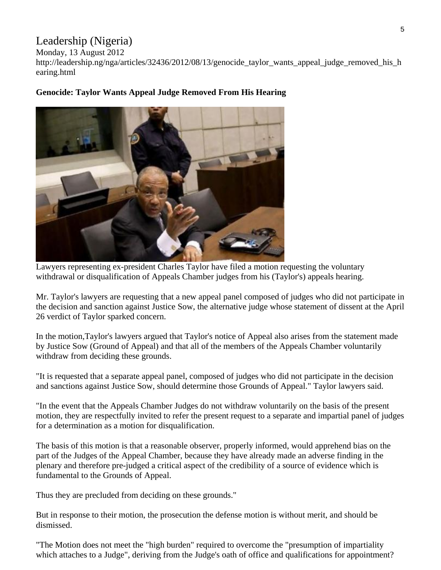### Leadership (Nigeria)

Monday, 13 August 2012

http://leadership.ng/nga/articles/32436/2012/08/13/genocide\_taylor\_wants\_appeal\_judge\_removed\_his\_h earing.html



### **Genocide: Taylor Wants Appeal Judge Removed From His Hearing**

Lawyers representing ex-president Charles Taylor have filed a motion requesting the voluntary withdrawal or disqualification of Appeals Chamber judges from his (Taylor's) appeals hearing.

Mr. Taylor's lawyers are requesting that a new appeal panel composed of judges who did not participate in the decision and sanction against Justice Sow, the alternative judge whose statement of dissent at the April 26 verdict of Taylor sparked concern.

In the motion,Taylor's lawyers argued that Taylor's notice of Appeal also arises from the statement made by Justice Sow (Ground of Appeal) and that all of the members of the Appeals Chamber voluntarily withdraw from deciding these grounds.

"It is requested that a separate appeal panel, composed of judges who did not participate in the decision and sanctions against Justice Sow, should determine those Grounds of Appeal." Taylor lawyers said.

"In the event that the Appeals Chamber Judges do not withdraw voluntarily on the basis of the present motion, they are respectfully invited to refer the present request to a separate and impartial panel of judges for a determination as a motion for disqualification.

The basis of this motion is that a reasonable observer, properly informed, would apprehend bias on the part of the Judges of the Appeal Chamber, because they have already made an adverse finding in the plenary and therefore pre-judged a critical aspect of the credibility of a source of evidence which is fundamental to the Grounds of Appeal.

Thus they are precluded from deciding on these grounds."

But in response to their motion, the prosecution the defense motion is without merit, and should be dismissed.

"The Motion does not meet the "high burden" required to overcome the "presumption of impartiality which attaches to a Judge", deriving from the Judge's oath of office and qualifications for appointment?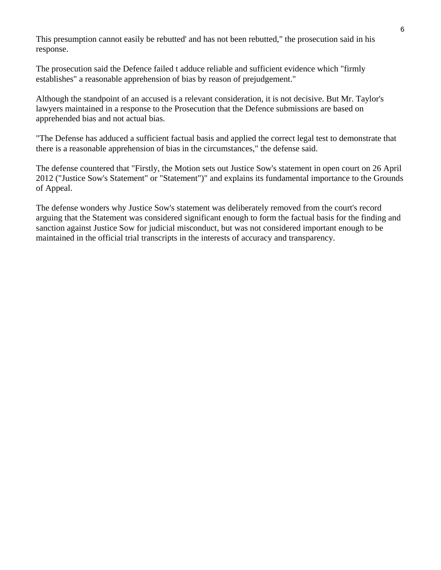This presumption cannot easily be rebutted' and has not been rebutted," the prosecution said in his response.

The prosecution said the Defence failed t adduce reliable and sufficient evidence which "firmly establishes" a reasonable apprehension of bias by reason of prejudgement."

Although the standpoint of an accused is a relevant consideration, it is not decisive. But Mr. Taylor's lawyers maintained in a response to the Prosecution that the Defence submissions are based on apprehended bias and not actual bias.

"The Defense has adduced a sufficient factual basis and applied the correct legal test to demonstrate that there is a reasonable apprehension of bias in the circumstances," the defense said.

The defense countered that "Firstly, the Motion sets out Justice Sow's statement in open court on 26 April 2012 ("Justice Sow's Statement" or "Statement")" and explains its fundamental importance to the Grounds of Appeal.

The defense wonders why Justice Sow's statement was deliberately removed from the court's record arguing that the Statement was considered significant enough to form the factual basis for the finding and sanction against Justice Sow for judicial misconduct, but was not considered important enough to be maintained in the official trial transcripts in the interests of accuracy and transparency.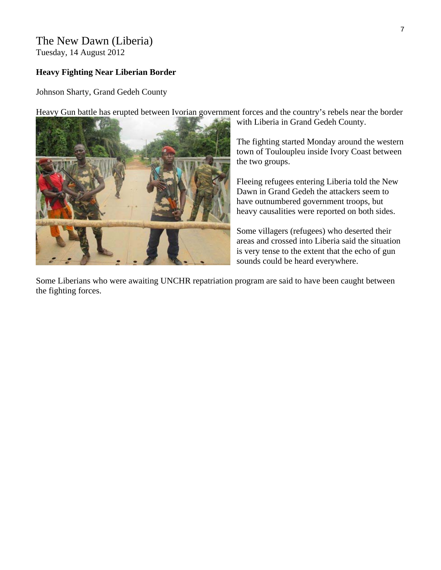### The New Dawn (Liberia)

Tuesday, 14 August 2012

### **Heavy Fighting Near Liberian Border**

Johnson Sharty, Grand Gedeh County



Heavy Gun battle has erupted between Ivorian government forces and the country's rebels near the border

with Liberia in Grand Gedeh County.

The fighting started Monday around the w estern town of Touloupleu inside Ivory Coast between the two groups.

Fleeing refugees entering Liberia told the New Dawn in Grand Gedeh the attackers seem to have outnumbered government troops, but heavy causalities were reported on both sides.

Some villagers (refugees) who deserted their areas and crossed into Liberia said the situation is very tense to the extent that the echo of gun sounds could be heard everywhere.

Some Liberians who were awaiting UNCHR repatriation program are said to have been caught between the fighting forces.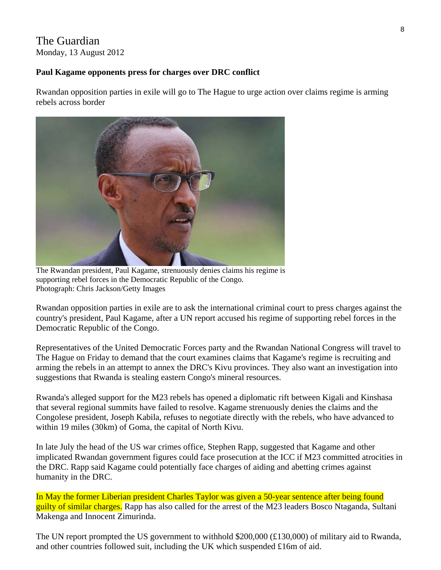### The Guardian Monday, 13 August 2012

### **Paul Kagame opponents press for charges over DRC conflict**

Rwandan opposition parties in exile will go to The Hague to urge action over claims regime is arming rebels across border



The Rwandan president, Paul Kagame, strenuously denies claims his regime is supporting rebel forces in the Democratic Republic of the Congo. Photograph: Chris Jackson/Getty Images

Rwandan opposition parties in exile are to ask the international criminal court to press charges against the country's president, Paul Kagame, after a UN report accused his regime of supporting rebel forces in the Democratic Republic of the Congo.

Representatives of the United Democratic Forces party and the Rwandan National Congress will travel to The Hague on Friday to demand that the court examines claims that Kagame's regime is recruiting and arming the rebels in an attempt to annex the DRC's Kivu provinces. They also want an investigation into suggestions that Rwanda is stealing eastern Congo's mineral resources.

Rwanda's alleged support for the M23 rebels has opened a diplomatic rift between Kigali and Kinshasa that several regional summits have failed to resolve. Kagame strenuously denies the claims and the Congolese president, Joseph Kabila, refuses to negotiate directly with the rebels, who have advanced to within 19 miles (30km) of Goma, the capital of North Kivu.

In late July the head of the US war crimes office, Stephen Rapp, suggested that Kagame and other implicated Rwandan government figures could face prosecution at the ICC if M23 committed atrocities in the DRC. Rapp said Kagame could potentially face charges of aiding and abetting crimes against humanity in the DRC.

In May the former Liberian president Charles Taylor was given a 50-year sentence after being found guilty of similar charges. Rapp has also called for the arrest of the M23 leaders Bosco Ntaganda, Sultani Makenga and Innocent Zimurinda.

The UN report prompted the US government to withhold \$200,000 (£130,000) of military aid to Rwanda, and other countries followed suit, including the UK which suspended £16m of aid.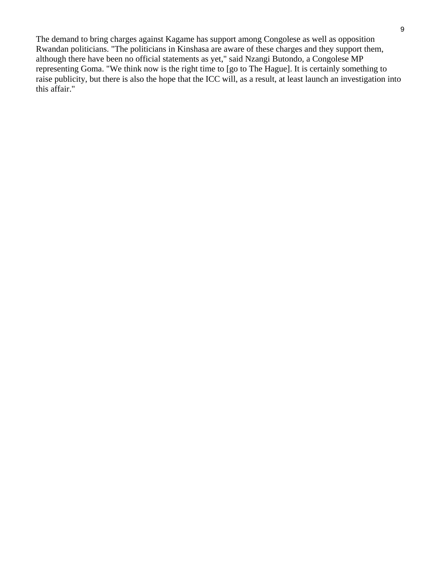The demand to bring charges against Kagame has support among Congolese as well as opposition Rwandan politicians. "The politicians in Kinshasa are aware of these charges and they support them, although there have been no official statements as yet," said Nzangi Butondo, a Congolese MP representing Goma. "We think now is the right time to [go to The Hague]. It is certainly something to raise publicity, but there is also the hope that the ICC will, as a result, at least launch an investigation into this affair."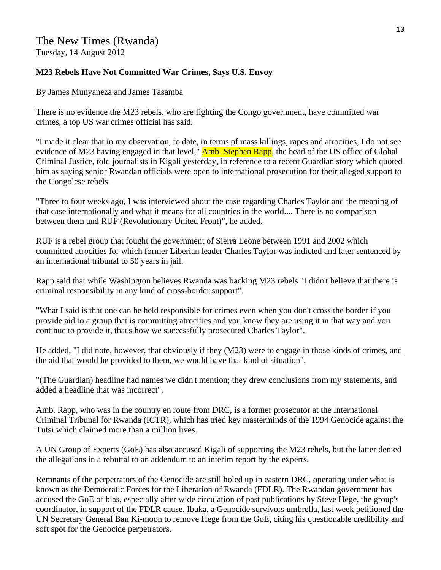### The New Times (Rwanda) Tuesday, 14 August 2012

### **M23 Rebels Have Not Committed War Crimes, Says U.S. Envoy**

By James Munyaneza and James Tasamba

There is no evidence the M23 rebels, who are fighting the Congo government, have committed war crimes, a top US war crimes official has said.

"I made it clear that in my observation, to date, in terms of mass killings, rapes and atrocities, I do not see evidence of M23 having engaged in that level," **Amb. Stephen Rapp**, the head of the US office of Global Criminal Justice, told journalists in Kigali yesterday, in reference to a recent Guardian story which quoted him as saying senior Rwandan officials were open to international prosecution for their alleged support to the Congolese rebels.

"Three to four weeks ago, I was interviewed about the case regarding Charles Taylor and the meaning of that case internationally and what it means for all countries in the world.... There is no comparison between them and RUF (Revolutionary United Front)", he added.

RUF is a rebel group that fought the government of Sierra Leone between 1991 and 2002 which committed atrocities for which former Liberian leader Charles Taylor was indicted and later sentenced by an international tribunal to 50 years in jail.

Rapp said that while Washington believes Rwanda was backing M23 rebels "I didn't believe that there is criminal responsibility in any kind of cross-border support".

"What I said is that one can be held responsible for crimes even when you don't cross the border if you provide aid to a group that is committing atrocities and you know they are using it in that way and you continue to provide it, that's how we successfully prosecuted Charles Taylor".

He added, "I did note, however, that obviously if they (M23) were to engage in those kinds of crimes, and the aid that would be provided to them, we would have that kind of situation".

"(The Guardian) headline had names we didn't mention; they drew conclusions from my statements, and added a headline that was incorrect".

Amb. Rapp, who was in the country en route from DRC, is a former prosecutor at the International Criminal Tribunal for Rwanda (ICTR), which has tried key masterminds of the 1994 Genocide against the Tutsi which claimed more than a million lives.

A UN Group of Experts (GoE) has also accused Kigali of supporting the M23 rebels, but the latter denied the allegations in a rebuttal to an addendum to an interim report by the experts.

Remnants of the perpetrators of the Genocide are still holed up in eastern DRC, operating under what is known as the Democratic Forces for the Liberation of Rwanda (FDLR). The Rwandan government has accused the GoE of bias, especially after wide circulation of past publications by Steve Hege, the group's coordinator, in support of the FDLR cause. Ibuka, a Genocide survivors umbrella, last week petitioned the UN Secretary General Ban Ki-moon to remove Hege from the GoE, citing his questionable credibility and soft spot for the Genocide perpetrators.